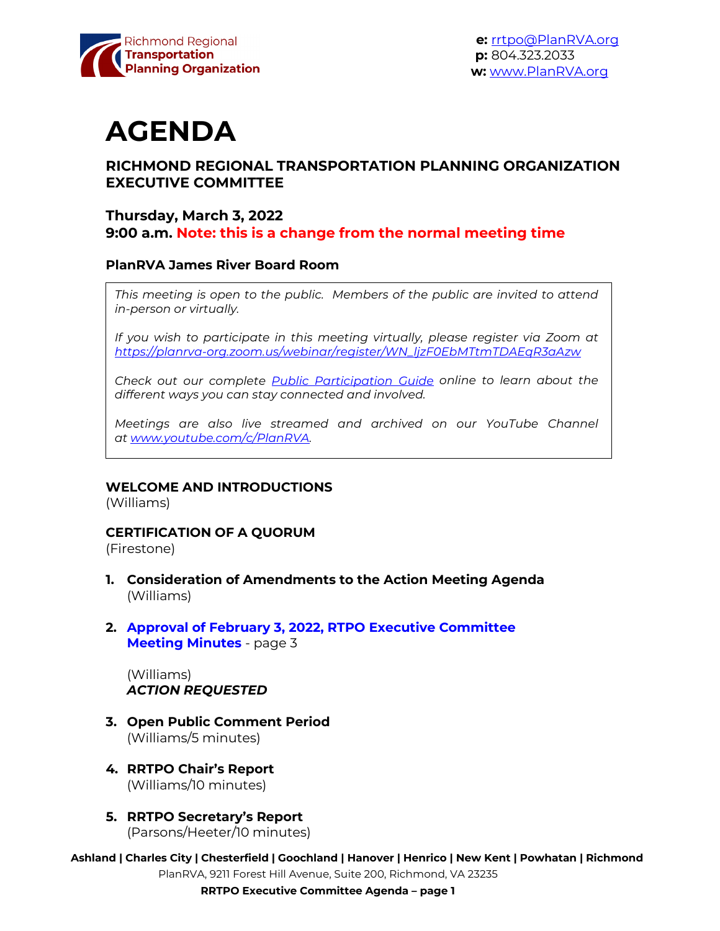

# **AGENDA**

## **RICHMOND REGIONAL TRANSPORTATION PLANNING ORGANIZATION EXECUTIVE COMMITTEE**

### **Thursday, March 3, 2022 9:00 a.m. Note: this is a change from the normal meeting time**

#### **PlanRVA James River Board Room**

This meeting is open to the public. Members of the public are invited to attend *in-person or virtually.*

*If you wish to participate in this meeting virtually, please register via Zoom at [https://planrva-org.zoom.us/webinar/register/WN\\_ljzF0EbMTtmTDAEqR3aAzw](https://planrva-org.zoom.us/webinar/register/WN_ljzF0EbMTtmTDAEqR3aAzw)*

*Check out our complete [Public Participation Guide](https://planrva.org/wp-content/uploads/Infographic_PlanRVA_1_CF.ai_.pdf) online to learn about the different ways you can stay connected and involved.*

*Meetings are also live streamed and archived on our YouTube Channel at [www.youtube.com/c/PlanRVA.](http://www.youtube.com/c/PlanRVA)*

#### **WELCOME AND INTRODUCTIONS**

(Williams)

#### **CERTIFICATION OF A QUORUM**

(Firestone)

- **1. Consideration of Amendments to the Action Meeting Agenda** (Williams)
- **2. Approval of February 3, 2022, RTPO [Executive Committee](#page-2-0)  Meeting Minutes** - page 3

(Williams) *ACTION REQUESTED*

- **3. Open Public Comment Period** (Williams/5 minutes)
- **4. RRTPO Chair's Report** (Williams/10 minutes)
- **5. RRTPO Secretary's Report** (Parsons/Heeter/10 minutes)
- **Ashland | Charles City | Chesterfield | Goochland | Hanover | Henrico | New Kent | Powhatan | Richmond** PlanRVA, 9211 Forest Hill Avenue, Suite 200, Richmond, VA 23235

**RRTPO Executive Committee Agenda – page 1**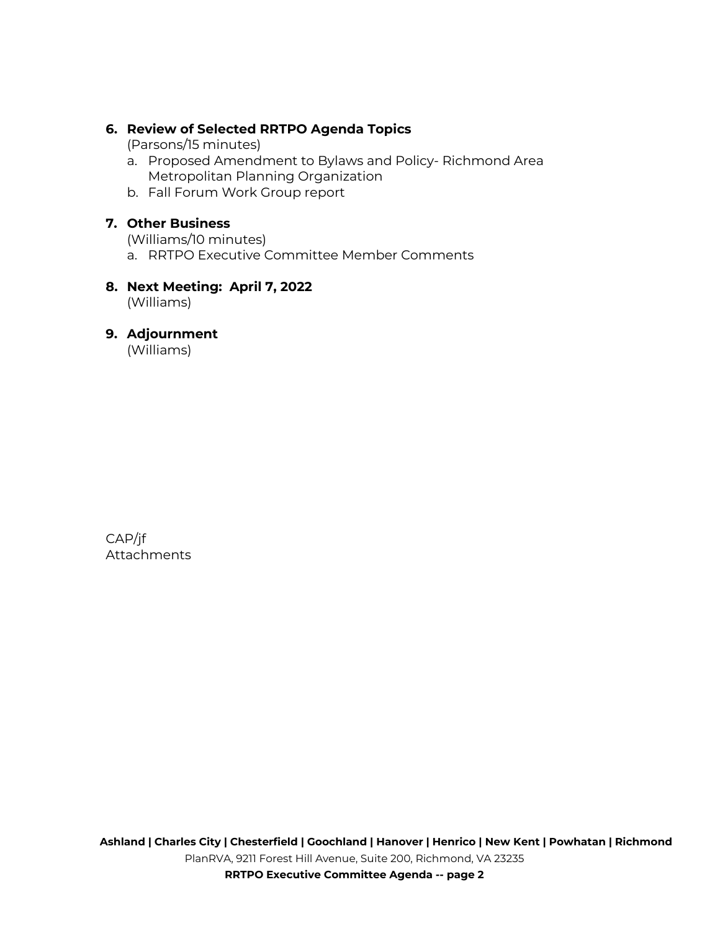## **6. Review of Selected RRTPO Agenda Topics**

(Parsons/15 minutes)

- a. Proposed Amendment to Bylaws and Policy- Richmond Area Metropolitan Planning Organization
- b. Fall Forum Work Group report

## **7. Other Business**

(Williams/10 minutes)

- a. RRTPO Executive Committee Member Comments
- **8. Next Meeting: April 7, 2022** (Williams)

#### **9. Adjournment**

(Williams)

CAP/jf Attachments

**RRTPO Executive Committee Agenda -- page 2**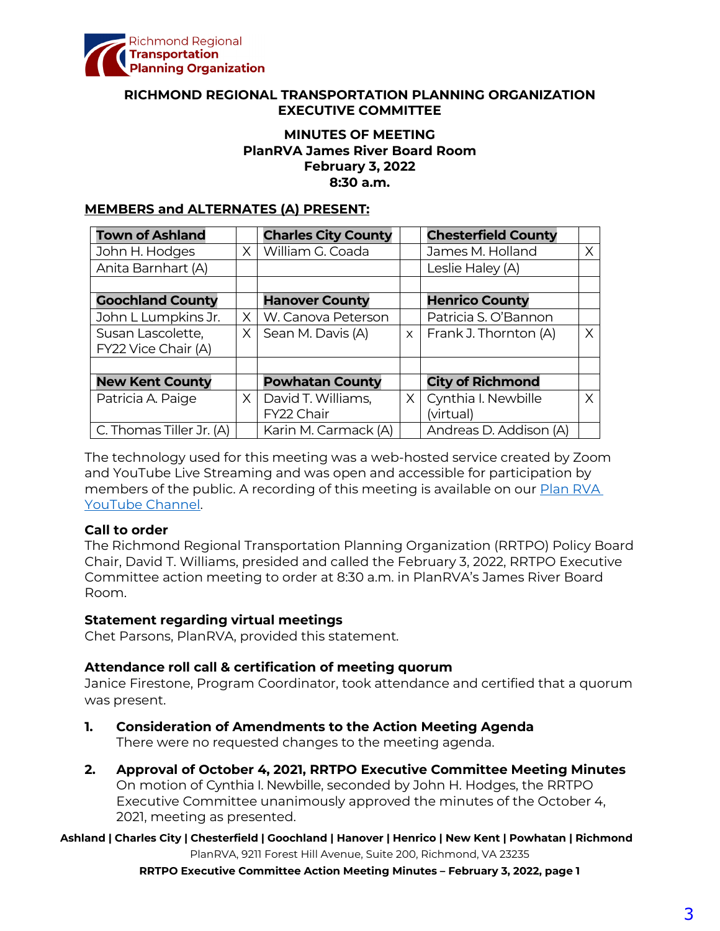<span id="page-2-0"></span>

#### **RICHMOND REGIONAL TRANSPORTATION PLANNING ORGANIZATION EXECUTIVE COMMITTEE**

## **MINUTES OF MEETING PlanRVA James River Board Room February 3, 2022 8:30 a.m.**

#### **MEMBERS and ALTERNATES (A) PRESENT:**

| <b>Town of Ashland</b>   |          | <b>Charles City County</b> |          | <b>Chesterfield County</b> |          |
|--------------------------|----------|----------------------------|----------|----------------------------|----------|
| John H. Hodges           | $\times$ | William G. Coada           |          | James M. Holland           | Χ        |
| Anita Barnhart (A)       |          |                            |          | Leslie Haley (A)           |          |
|                          |          |                            |          |                            |          |
| <b>Goochland County</b>  |          | <b>Hanover County</b>      |          | <b>Henrico County</b>      |          |
| John L Lumpkins Jr.      | X.       | W. Canova Peterson         |          | Patricia S. O'Bannon       |          |
| Susan Lascolette,        | X.       | Sean M. Davis (A)          | $\times$ | Frank J. Thornton (A)      | $\times$ |
| FY22 Vice Chair (A)      |          |                            |          |                            |          |
|                          |          |                            |          |                            |          |
| <b>New Kent County</b>   |          | <b>Powhatan County</b>     |          | <b>City of Richmond</b>    |          |
| Patricia A. Paige        | $\times$ | David T. Williams,         | $\times$ | Cynthia I. Newbille        | X        |
|                          |          | FY22 Chair                 |          | (virtual)                  |          |
| C. Thomas Tiller Jr. (A) |          | Karin M. Carmack (A)       |          | Andreas D. Addison (A)     |          |

The technology used for this meeting was a web-hosted service created by Zoom and YouTube Live Streaming and was open and accessible for participation by members of the public. A recording of this meeting is available on our **Plan RVA** [YouTube Channel.](https://www.youtube.com/watch?v=z0QZVILjyig) 

#### **Call to order**

The Richmond Regional Transportation Planning Organization (RRTPO) Policy Board Chair, David T. Williams, presided and called the February 3, 2022, RRTPO Executive Committee action meeting to order at 8:30 a.m. in PlanRVA's James River Board Room.

#### **Statement regarding virtual meetings**

Chet Parsons, PlanRVA, provided this statement.

#### **Attendance roll call & certification of meeting quorum**

Janice Firestone, Program Coordinator, took attendance and certified that a quorum was present.

- **1. Consideration of Amendments to the Action Meeting Agenda** There were no requested changes to the meeting agenda.
- **2. Approval of October 4, 2021, RRTPO Executive Committee Meeting Minutes** On motion of Cynthia I. Newbille, seconded by John H. Hodges, the RRTPO Executive Committee unanimously approved the minutes of the October 4, 2021, meeting as presented.

**Ashland | Charles City | Chesterfield | Goochland | Hanover | Henrico | New Kent | Powhatan | Richmond** PlanRVA, 9211 Forest Hill Avenue, Suite 200, Richmond, VA 23235

**RRTPO Executive Committee Action Meeting Minutes – February 3, 2022, page 1**